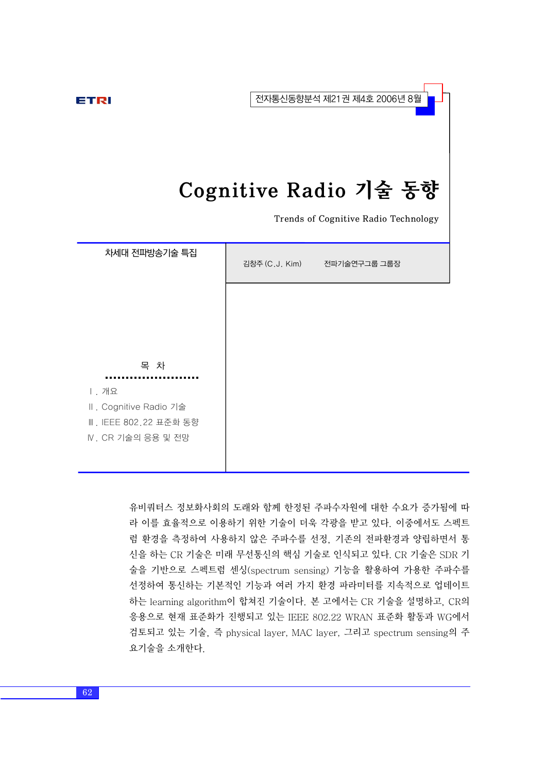전자통신동향분석 제21권 제4호 2006년 8월

#### ETRI

# Cognitive Radio 기술 동향

Trends of Cognitive Radio Technology

| 차세대 전파방송기술 특집          | 김창주(C.J. Kim) | 전파기술연구그룹 그룹장 |
|------------------------|---------------|--------------|
|                        |               |              |
|                        |               |              |
| 목 차                    |               |              |
| Ⅰ. 개요                  |               |              |
| II. Cognitive Radio 기술 |               |              |
| Ⅲ. IEEE 802.22 표준화 동향  |               |              |
| Ⅳ. CR 기술의 응용 및 전망      |               |              |
|                        |               |              |

유비쿼터스 정보화사회의 도래와 함께 한정된 주파수자원에 대한 수요가 증가됨에 따 라 이를 효율적으로 이용하기 위한 기술이 더욱 각광을 받고 있다. 이중에서도 스펙트 럼 환경을 측정하여 사용하지 않은 주파수를 선정, 기존의 전파환경과 양립하면서 통 신을 하는 CR 기술은 미래 무선통신의 핵심 기술로 인식되고 있다. CR 기술은 SDR 기 술을 기반으로 스펙트럼 센싱(spectrum sensing) 기능을 활용하여 가용한 주파수를 선정하여 통신하는 기본적인 기능과 여러 가지 환경 파라미터를 지속적으로 업데이트 하는 learning algorithm이 합쳐진 기술이다. 본 고에서는 CR 기술을 설명하고, CR의 응용으로 현재 표준화가 진행되고 있는 IEEE 802.22 WRAN 표준화 활동과 WG에서 검토되고 있는 기술, 즉 physical layer, MAC layer, 그리고 spectrum sensing의 주 요기술을 소개한다.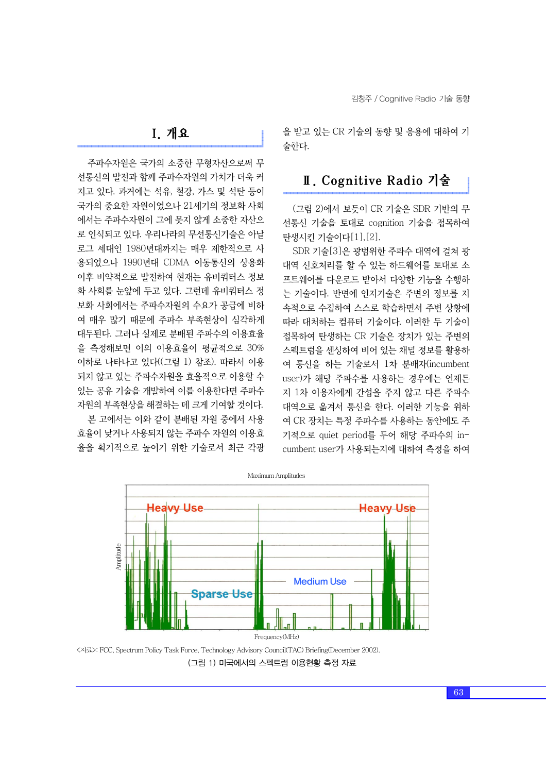주파수자원은 국가의 소중한 무형자산으로써 무 선통신의 발전과 함께 주파수자원의 가치가 더욱 커 지고 있다. 과거에는 석유, 철강, 가스 및 석탄 등이 국가의 중요한 자원이었으나 21세기의 정보화 사회 에서는 주파수자원이 그에 못지 않게 소중한 자산으 로 인식되고 있다. 우리나라의 무선통신기술은 아날 로그 세대인 1980년대까지는 매우 제한적으로 사 용되었으나 1990년대 CDMA 이동통신의 상용화 이후 비약적으로 발전하여 현재는 유비쿼터스 정보 화 사회를 눈앞에 두고 있다. 그런데 유비쿼터스 정 보화 사회에서는 주파수자원의 수요가 공급에 비하 여 매우 많기 때문에 주파수 부족현상이 심각하게 대두된다. 그러나 실제로 분배된 주파수의 이용효율 을 측정해보면 이의 이용효율이 평균적으로 30% 이하로 나타나고 있다((그림 1) 참조). 따라서 이용 되지 않고 있는 주파수자원을 효율적으로 이용할 수 있는 공유 기술을 개발하여 이를 이용한다면 주파수 자원의 부족현상을 해결하는 데 크게 기여할 것이다. 본 고에서는 이와 같이 분배된 자원 중에서 사용

효율이 낮거나 사용되지 않는 주파수 자원의 이용효 율을 획기적으로 높이기 위한 기술로서 최근 각광 을 받고 있는 CR 기술의 동향 및 응용에 대하여 기 술한다.

## Ⅱ. Cognitive Radio 기술

(그림 2)에서 보듯이 CR 기술은 SDR 기반의 무 선통신 기술을 토대로 cognition 기술을 접목하여 탄생시킨 기술이다[1],[2].

SDR 기술[3]은 광범위한 주파수 대역에 걸쳐 광 대역 신호처리를 할 수 있는 하드웨어를 토대로 소 프트웨어를 다운로드 받아서 다양한 기능을 수행하 는 기술이다. 반면에 인지기술은 주변의 정보를 지 속적으로 수집하여 스스로 학습하면서 주변 상황에 따라 대처하는 컴퓨터 기술이다. 이러한 두 기술이 접목하여 탄생하는 CR 기술은 장치가 있는 주변의 스펙트럼을 센싱하여 비어 있는 채널 정보를 활용하 여 통신을 하는 기술로서 1차 분배자(incumbent user)가 해당 주파수를 사용하는 경우에는 언제든 지 1차 이용자에게 간섭을 주지 않고 다른 주파수 대역으로 옮겨서 통신을 한다. 이러한 기능을 위하 여 CR 장치는 특정 주파수를 사용하는 동안에도 주 기적으로 quiet period를 두어 해당 주파수의 incumbent user가 사용되는지에 대하여 측정을 하여



<자료>: FCC, Spectrum Policy Task Force, Technology Advisory Council(TAC) Briefing(December 2002). (그림 1) 미국에서의 스펙트럼 이용현황 측정 자료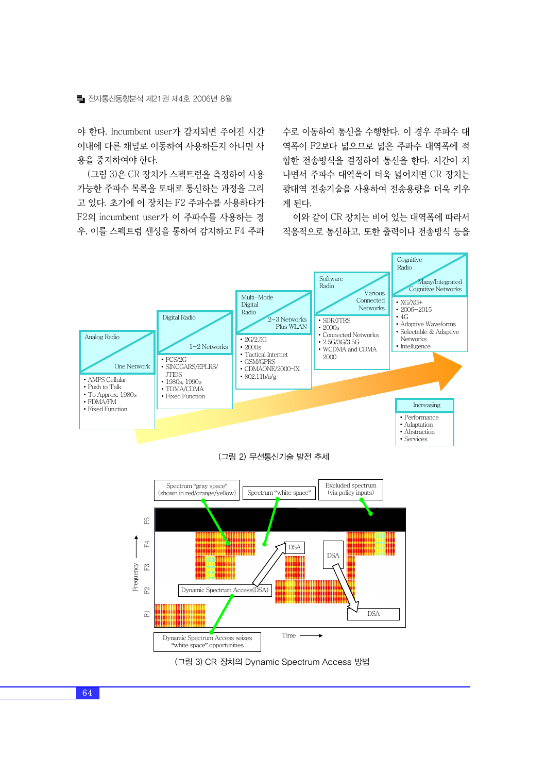야 한다. Incumbent user가 감지되면 주어진 시간 이내에 다른 채널로 이동하여 사용하든지 아니면 사 용을 중지하여야 한다.

(그림 3)은 CR 장치가 스펙트럼을 측정하여 사용 가능한 주파수 목록을 토대로 통신하는 과정을 그리 고 있다. 초기에 이 장치는 F2 주파수를 사용하다가 F2의 incumbent user가 이 주파수를 사용하는 경 우, 이를 스펙트럼 센싱을 통하여 감지하고 F4 주파 수로 이동하여 통신을 수행한다. 이 경우 주파수 대 역폭이 F2보다 넓으므로 넓은 주파수 대역폭에 적 합한 전송방식을 결정하여 통신을 한다. 시간이 지 나면서 주파수 대역폭이 더욱 넓어지면 CR 장치는 광대역 전송기술을 사용하여 전송용량을 더욱 키우 게 된다.

이와 같이 CR 장치는 비어 있는 대역폭에 따라서 적응적으로 통신하고, 또한 출력이나 전송방식 등을



(그림 3) CR 장치의 Dynamic Spectrum Access 방법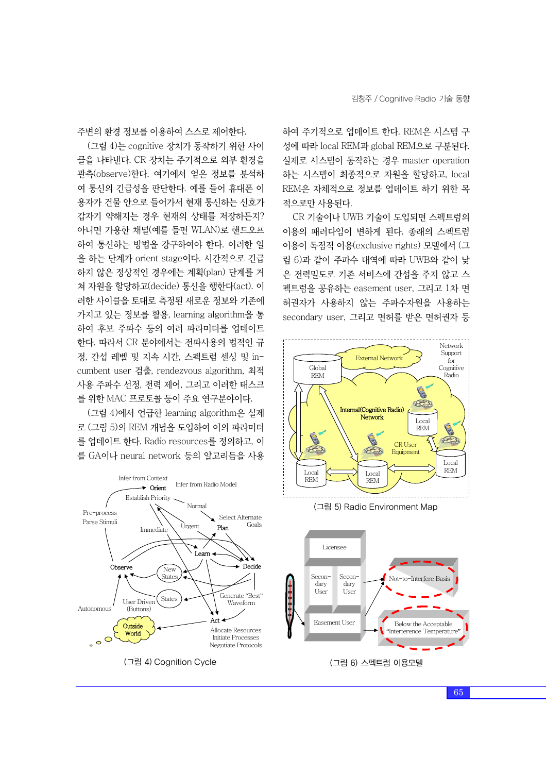주변의 환경 정보를 이용하여 스스로 제어한다.

(그림 4)는 cognitive 장치가 동작하기 위한 사이 클을 나타낸다. CR 장치는 주기적으로 외부 환경을 관측(observe)한다. 여기에서 얻은 정보를 분석하 여 통신의 긴급성을 판단한다. 예를 들어 휴대폰 이 용자가 건물 안으로 들어가서 현재 통신하는 신호가 갑자기 약해지는 경우 현재의 상태를 저장하든지? 아니면 가용한 채널(예를 들면 WLAN)로 핸드오프 하여 통신하는 방법을 강구하여야 한다. 이러한 일 을 하는 단계가 orient stage이다. 시간적으로 긴급 하지 않은 정상적인 경우에는 계획(plan) 단계를 거 쳐 자원을 할당하고(decide) 통신을 행한다(act). 이 러한 사이클을 토대로 측정된 새로운 정보와 기존에 가지고 있는 정보를 활용, learning algorithm을 통 하여 후보 주파수 등의 여러 파라미터를 업데이트 한다. 따라서 CR 분야에서는 전파사용의 법적인 규 정, 간섭 레벨 및 지속 시간, 스펙트럼 센싱 및 incumbent user 검출, rendezvous algorithm, 최적 사용 주파수 선정, 전력 제어, 그리고 이러한 태스크 를 위한 MAC 프로토콜 등이 주요 연구분야이다.

(그림 4)에서 언급한 learning algorithm은 실제 로 (그림 5)의 REM 개념을 도입하여 이의 파라미터 를 업데이트 한다. Radio resources를 정의하고, 이 를 GA이나 neural network 등의 알고리듬을 사용



이용이 독점적 이용(exclusive rights) 모델에서 (그 림 6)과 같이 주파수 대역에 따라 UWB와 같이 낮 은 전력밀도로 기존 서비스에 간섭을 주지 않고 스 펙트럼을 공유하는 easement user, 그리고 1차 면 허권자가 사용하지 않는 주파수자원을 사용하는 secondary user, 그리고 면허를 받은 면허권자 등

하여 주기적으로 업데이트 한다. REM은 시스템 구 성에 따라 local REM과 global REM으로 구분된다.



Normal Normal (그림 5) Radio Environment Map



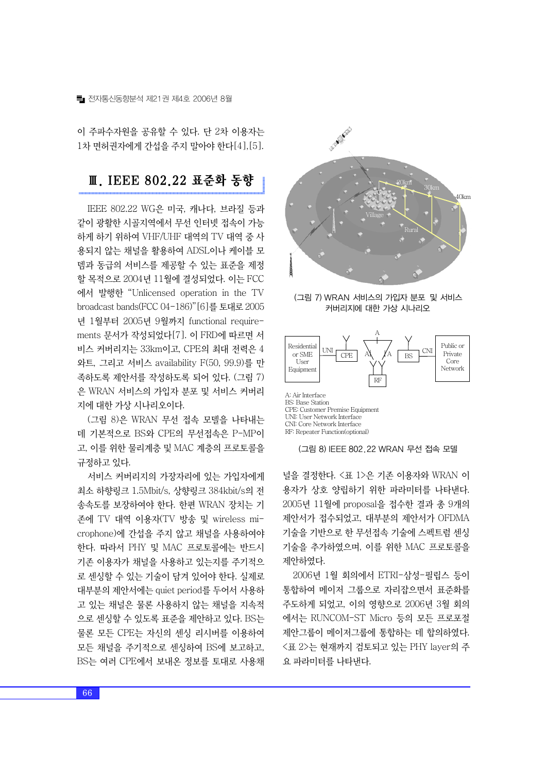이 주파수자원을 공유할 수 있다. 단 2차 이용자는 1차 면허권자에게 간섭을 주지 말아야 한다[4],[5].

### Ⅲ. IEEE 802.22 표준화 동향

IEEE 802.22 WG은 미국, 캐나다, 브라질 등과 같이 광활한 시골지역에서 무선 인터넷 접속이 가능 하게 하기 위하여 VHF/UHF 대역의 TV 대역 중 사 용되지 않는 채널을 활용하여 ADSL이나 케이블 모 뎀과 동급의 서비스를 제공할 수 있는 표준을 제정 할 목적으로 2004년 11월에 결성되었다. 이는 FCC 에서 발행한 "Unlicensed operation in the TV broadcast bands(FCC 04-186)"[6]를토대로 2005 년 1월부터 2005년 9월까지 functional requirements 문서가 작성되었다[7]. 이 FRD에 따르면 서 비스 커버리지는 33km이고, CPE의 최대 전력은 4 와트, 그리고 서비스 availability F(50, 99.9)를 만 족하도록 제안서를 작성하도록 되어 있다. (그림 7) 은 WRAN 서비스의 가입자 분포 및 서비스 커버리 지에 대한 가상 시나리오이다.

(그림 8)은 WRAN 무선 접속 모델을 나타내는 데 기본적으로 BS와 CPE의 무선접속은 P-MP이 고, 이를 위한 물리계층 및 MAC 계층의 프로토콜을 규정하고 있다.

서비스 커버리지의 가장자리에 있는 가입자에게 최소 하향링크 1.5Mbit/s, 상향링크 384kbit/s의 전 송속도를 보장하여야 한다. 한편 WRAN 장치는 기 존에 TV 대역 이용자(TV 방송 및 wireless microphone)에 간섭을 주지 않고 채널을 사용하여야 한다. 따라서 PHY 및 MAC 프로토콜에는 반드시 기존 이용자가 채널을 사용하고 있는지를 주기적으 로 센싱할 수 있는 기술이 담겨 있어야 한다. 실제로 대부분의 제안서에는 quiet period를 두어서 사용하 고 있는 채널은 물론 사용하지 않는 채널을 지속적 으로 센싱할 수 있도록 표준을 제안하고 있다. BS는 물론 모든 CPE는 자신의 센싱 리시버를 이용하여 모든 채널을 주기적으로 센싱하여 BS에 보고하고, BS는 여러 CPE에서 보내온 정보를 토대로 사용채



(그림 7) WRAN 서비스의 가입자 분포 및 서비스 커버리지에 대한 가상 시나리오



CPE: Customer Premise Equipment UNI: User Network Interface CNI: Core Network Interface RF: Repeater Function(optional)



널을 결정한다. <표 1>은 기존 이용자와 WRAN 이 용자가 상호 양립하기 위한 파라미터를 나타낸다. 2005년 11월에 proposal을 접수한 결과 총 9개의 제안서가 접수되었고, 대부분의 제안서가 OFDMA 기술을 기반으로 한 무선접속 기술에 스펙트럼 센싱 기술을 추가하였으며, 이를 위한 MAC 프로토콜을 제안하였다.

2006년 1월 회의에서 ETRI-삼성-필립스 등이 통합하여 메이저 그룹으로 자리잡으면서 표준화를 주도하게 되었고, 이의 영향으로 2006년 3월 회의 에서는 RUNCOM-ST Micro 등의 모든 프로포절 제안그룹이 메이저그룹에 통합하는 데 합의하였다. <표 2>는 현재까지 검토되고 있는 PHY layer의 주 요 파라미터를 나타낸다.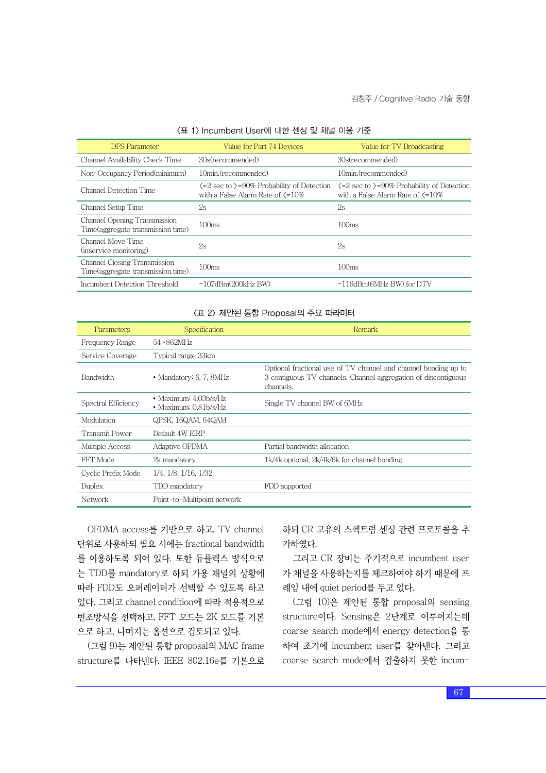| <b>DFS</b> Parameter                                                      | Value for Part 74 Devices                                                                                        | Value for TV Broadcasting                                                                                        |
|---------------------------------------------------------------------------|------------------------------------------------------------------------------------------------------------------|------------------------------------------------------------------------------------------------------------------|
| Channel Availability Check Time                                           | 30s(recommended)                                                                                                 | 30s(recommended)                                                                                                 |
| Non-Occupancy Period(minimum)                                             | 10min.(recommended)                                                                                              | 10min.(recommended)                                                                                              |
| Channel Detection Time                                                    | $\langle 2 \rangle$ sec to $\rangle$ =90% Probability of Detection<br>with a False Alarm Rate of $\langle =10\%$ | $\langle 2 \rangle$ sec to $\rangle$ =90% Probability of Detection<br>with a False Alarm Rate of $\langle =10\%$ |
| Channel Setup Time                                                        | 2s                                                                                                               | 2s                                                                                                               |
| Channel Opening Transmission<br>Time (aggregate transmission time)        | 100ms                                                                                                            | 100ms                                                                                                            |
| Channel Move Time<br>(inservice monitoring)                               | 2s                                                                                                               | 2s                                                                                                               |
| <b>Channel Closing Transmission</b><br>Time (aggregate transmission time) | 100 <sub>ms</sub>                                                                                                | 100ms                                                                                                            |
| Incumbent Detection Threshold                                             | $-107$ d $Bm(200$ k $Hz$ $BW)$                                                                                   | $-116$ dBm(6MHz BW) for DTV                                                                                      |

#### <표 1> Incumbent User에 대한 센싱 및 채널 이용 기준

#### <표 2> 제안된 통합 Proposal의 주요 파라미터

| Parameters          | Specification                                    | Remark                                                                                                                                         |
|---------------------|--------------------------------------------------|------------------------------------------------------------------------------------------------------------------------------------------------|
| Frequency Range     | $54 \sim 862$ MHz                                |                                                                                                                                                |
| Service Coverage    | Typical range 33km                               |                                                                                                                                                |
| <b>Bandwidth</b>    | • Mandatory: 6, 7, $8MHz$                        | Optional fractional use of TV channel and channel bonding up to<br>3 contiguous TV channels. Channel aggregation of discontiguous<br>channels. |
| Spectral Efficiency | • Maximum: $4.03b/s/Hz$<br>• Maximum: 0.81b/s/Hz | Single TV channel BW of 6MHz                                                                                                                   |
| Modulation          | QPSK, 16QAM, 64QAM                               |                                                                                                                                                |
| Transmit Power      | Default 4W EIRP                                  |                                                                                                                                                |
| Multiple Access     | Adaptive OFDMA                                   | Partial bandwidth allocation                                                                                                                   |
| FFT Mode            | 2k mandatory                                     | 1k/4k optional, 2k/4k/6k for channel bonding                                                                                                   |
| Cyclic Prefix Mode  | $1/4$ , $1/8$ , $1/16$ , $1/32$                  |                                                                                                                                                |
| Duplex              | TDD mandatory                                    | FDD supported                                                                                                                                  |
| Network             | Point-to-Multipoint network                      |                                                                                                                                                |

OFDMA access를 기반으로 하고, TV channel 단위로 사용하되 필요 시에는 fractional bandwidth 를 이용하도록 되어 있다. 또한 듀플렉스 방식으로 는 TDD를 mandatory로 하되 가용 채널의 상황에 따라 FDD도 오퍼레이터가 선택할 수 있도록 하고 있다. 그리고 channel condition에 따라 적용적으로 변조방식을 선택하고, FFT 모드는 2K 모드를 기본 으로 하고, 나머지는 옵션으로 검토되고 있다.

(그림 9)는 제안된 통합 proposal의 MAC frame structure를 나타낸다. IEEE 802.16e를 기본으로 하되 CR 고유의 스펙트럼 센싱 관련 프로토콜을 추 가하였다.

그리고 CR 장비는 주기적으로 incumbent user 가 채널을 사용하는지를 체크하여야 하기 때문에 프 레임 내에 quiet period를 두고 있다.

(그림 10)은 제안된 통합 proposal의 sensing structure이다. Sensing은 2단계로 이루어지는데 coarse search mode에서 energy detection을 통 하여 조기에 incumbent user를 찾아낸다. 그리고 coarse search mode에서 검출하지 못한 incum-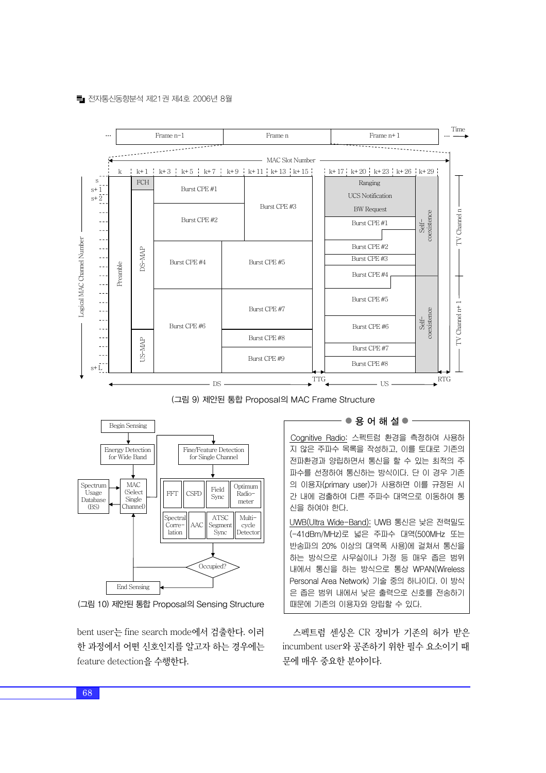#### 전자통신동향분석 제21권 제4호 2006년 8월



(그림 9) 제안된 통합 Proposal의 MAC Frame Structure



(그림 10) 제안된 통합 Proposal의 Sensing Structure

bent user는 fine search mode에서 검출한다. 이러 한 과정에서 어떤 신호인지를 알고자 하는 경우에는 feature detection을 수행한다.

#### - ● 용 어 해 설 ●

Cognitive Radio: 스펙트럼 환경을 측정하여 사용하 지 않은 주파수 목록을 작성하고, 이를 토대로 기존의 전파환경과 양립하면서 통신을 할 수 있는 최적의 주 파수를 선정하여 통신하는 방식이다. 단 이 경우 기존 의 이용자(primary user)가 사용하면 이를 규정된 시 간 내에 검출하여 다른 주파수 대역으로 이동하여 통 신을 하여야 한다.

UWB(Ultra Wide-Band): UWB 통신은 낮은 전력밀도 (-41dBm/MHz)로 넓은 주파수 대역(500MHz 또는 반송파의 20% 이상의 대역폭 사용)에 걸쳐서 통신을 하는 방식으로 사무실이나 가정 등 매우 좁은 범위 내에서 통신을 하는 방식으로 통상 WPAN(Wireless Personal Area Network) 기술 중의 하나이다. 이 방식 은 좁은 범위 내에서 낮은 출력으로 신호를 전송하기 때문에 기존의 이용자와 양립할 수 있다.

스펙트럼 센싱은 CR 장비가 기존의 허가 받은 incumbent user와 공존하기 위한 필수 요소이기 때 문에 매우 중요한 분야이다.